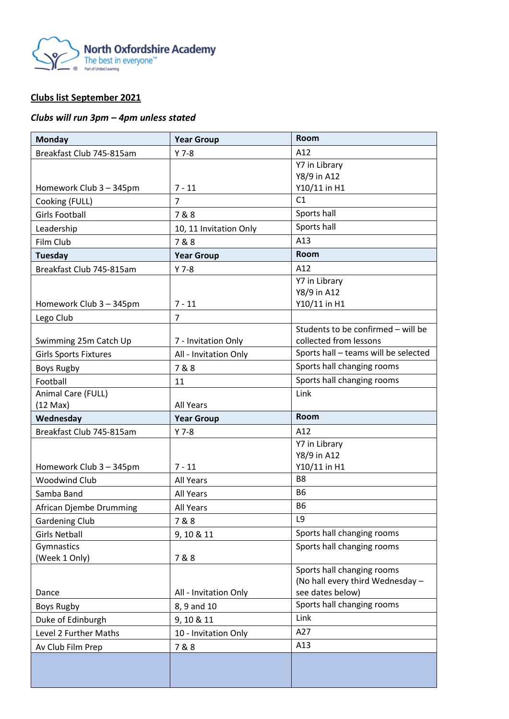

## **Clubs list September 2021**

## *Clubs will run 3pm – 4pm unless stated*

| <b>Monday</b>                | <b>Year Group</b>      | <b>Room</b>                                    |
|------------------------------|------------------------|------------------------------------------------|
| Breakfast Club 745-815am     | $Y$ 7-8                | A12                                            |
|                              |                        | Y7 in Library                                  |
|                              |                        | Y8/9 in A12                                    |
| Homework Club 3 - 345pm      | $7 - 11$               | Y10/11 in H1                                   |
| Cooking (FULL)               | $\overline{7}$         | C1                                             |
| <b>Girls Football</b>        | 7&8                    | Sports hall                                    |
| Leadership                   | 10, 11 Invitation Only | Sports hall                                    |
| Film Club                    | 7&8                    | A13                                            |
| Tuesday                      | <b>Year Group</b>      | Room                                           |
| Breakfast Club 745-815am     | $Y$ 7-8                | A12                                            |
|                              |                        | Y7 in Library                                  |
|                              |                        | Y8/9 in A12                                    |
| Homework Club 3 - 345pm      | $7 - 11$               | Y10/11 in H1                                   |
| Lego Club                    | $\overline{7}$         |                                                |
|                              |                        | Students to be confirmed - will be             |
| Swimming 25m Catch Up        | 7 - Invitation Only    | collected from lessons                         |
| <b>Girls Sports Fixtures</b> | All - Invitation Only  | Sports hall - teams will be selected           |
| <b>Boys Rugby</b>            | 7&8                    | Sports hall changing rooms                     |
| Football                     | 11                     | Sports hall changing rooms                     |
| Animal Care (FULL)           |                        | Link                                           |
| $(12 \text{ Max})$           | <b>All Years</b>       |                                                |
|                              |                        |                                                |
| Wednesday                    | <b>Year Group</b>      | <b>Room</b>                                    |
| Breakfast Club 745-815am     | $Y$ 7-8                | A12                                            |
|                              |                        | Y7 in Library                                  |
|                              |                        | Y8/9 in A12                                    |
| Homework Club 3 - 345pm      | $7 - 11$               | Y10/11 in H1                                   |
| <b>Woodwind Club</b>         | All Years              | B <sub>8</sub>                                 |
| Samba Band                   | All Years              | <b>B6</b>                                      |
| African Djembe Drumming      | <b>All Years</b>       | <b>B6</b>                                      |
| <b>Gardening Club</b>        | 7&8                    | L9                                             |
| <b>Girls Netball</b>         | 9, 10 & 11             | Sports hall changing rooms                     |
| Gymnastics                   |                        | Sports hall changing rooms                     |
| (Week 1 Only)                | 7&8                    |                                                |
|                              |                        | Sports hall changing rooms                     |
|                              |                        | (No hall every third Wednesday -               |
| Dance                        | All - Invitation Only  | see dates below)<br>Sports hall changing rooms |
| <b>Boys Rugby</b>            | 8, 9 and 10            | Link                                           |
| Duke of Edinburgh            | 9, 10 & 11             |                                                |
| Level 2 Further Maths        | 10 - Invitation Only   | A27                                            |
| Av Club Film Prep            | 7&8                    | A13                                            |
|                              |                        |                                                |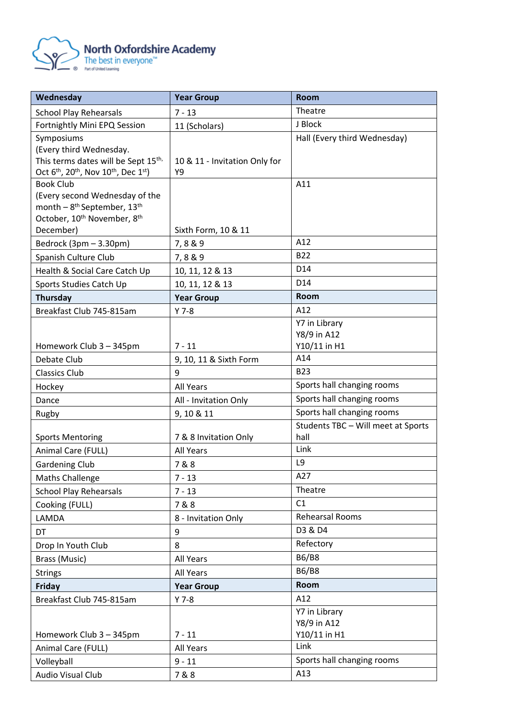

| Wednesday                                                                                                 | <b>Year Group</b>             | <b>Room</b>                                              |
|-----------------------------------------------------------------------------------------------------------|-------------------------------|----------------------------------------------------------|
| <b>School Play Rehearsals</b>                                                                             | $7 - 13$                      | Theatre                                                  |
| Fortnightly Mini EPQ Session                                                                              | 11 (Scholars)                 | J Block                                                  |
| Symposiums                                                                                                |                               | Hall (Every third Wednesday)                             |
| (Every third Wednesday.                                                                                   |                               |                                                          |
| This terms dates will be Sept 15th,                                                                       | 10 & 11 - Invitation Only for |                                                          |
| Oct 6 <sup>th</sup> , 20 <sup>th</sup> , Nov 10 <sup>th</sup> , Dec 1 <sup>st</sup> )<br><b>Book Club</b> | Υ9                            | A11                                                      |
| (Every second Wednesday of the                                                                            |                               |                                                          |
| month - 8 <sup>th</sup> September, 13 <sup>th</sup>                                                       |                               |                                                          |
| October, 10 <sup>th</sup> November, 8 <sup>th</sup>                                                       |                               |                                                          |
| December)                                                                                                 | Sixth Form, 10 & 11           |                                                          |
| Bedrock (3pm - 3.30pm)                                                                                    | 7,8&9                         | A12                                                      |
| Spanish Culture Club                                                                                      | 7,8&9                         | <b>B22</b>                                               |
| Health & Social Care Catch Up                                                                             | 10, 11, 12 & 13               | D14                                                      |
| Sports Studies Catch Up                                                                                   | 10, 11, 12 & 13               | D14                                                      |
| Thursday                                                                                                  | <b>Year Group</b>             | <b>Room</b>                                              |
| Breakfast Club 745-815am                                                                                  | $Y$ 7-8                       | A12                                                      |
|                                                                                                           |                               | Y7 in Library                                            |
|                                                                                                           |                               | Y8/9 in A12                                              |
| Homework Club 3 - 345pm                                                                                   | $7 - 11$                      | Y10/11 in H1                                             |
| Debate Club                                                                                               | 9, 10, 11 & Sixth Form        | A14                                                      |
| <b>Classics Club</b>                                                                                      | 9                             | <b>B23</b>                                               |
| Hockey                                                                                                    | All Years                     | Sports hall changing rooms<br>Sports hall changing rooms |
| Dance                                                                                                     | All - Invitation Only         | Sports hall changing rooms                               |
| Rugby                                                                                                     | 9, 10 & 11                    | Students TBC - Will meet at Sports                       |
| <b>Sports Mentoring</b>                                                                                   | 7 & 8 Invitation Only         | hall                                                     |
| Animal Care (FULL)                                                                                        | All Years                     | Link                                                     |
| <b>Gardening Club</b>                                                                                     | 7&8                           | L9                                                       |
| <b>Maths Challenge</b>                                                                                    | $7 - 13$                      | A27                                                      |
| <b>School Play Rehearsals</b>                                                                             | $7 - 13$                      | Theatre                                                  |
| Cooking (FULL)                                                                                            | 7&8                           | C1                                                       |
| LAMDA                                                                                                     | 8 - Invitation Only           | Rehearsal Rooms                                          |
| DT                                                                                                        | 9                             | D3 & D4                                                  |
| Drop In Youth Club                                                                                        | 8                             | Refectory                                                |
| Brass (Music)                                                                                             | All Years                     | <b>B6/B8</b>                                             |
| <b>Strings</b>                                                                                            | All Years                     | <b>B6/B8</b>                                             |
| Friday                                                                                                    | <b>Year Group</b>             | Room                                                     |
| Breakfast Club 745-815am                                                                                  | $Y$ 7-8                       | A12                                                      |
|                                                                                                           |                               | Y7 in Library                                            |
|                                                                                                           |                               | Y8/9 in A12                                              |
| Homework Club 3 - 345pm                                                                                   | $7 - 11$                      | Y10/11 in H1<br>Link                                     |
| Animal Care (FULL)                                                                                        | All Years                     | Sports hall changing rooms                               |
| Volleyball                                                                                                | $9 - 11$                      | A13                                                      |
| Audio Visual Club                                                                                         | 7&8                           |                                                          |